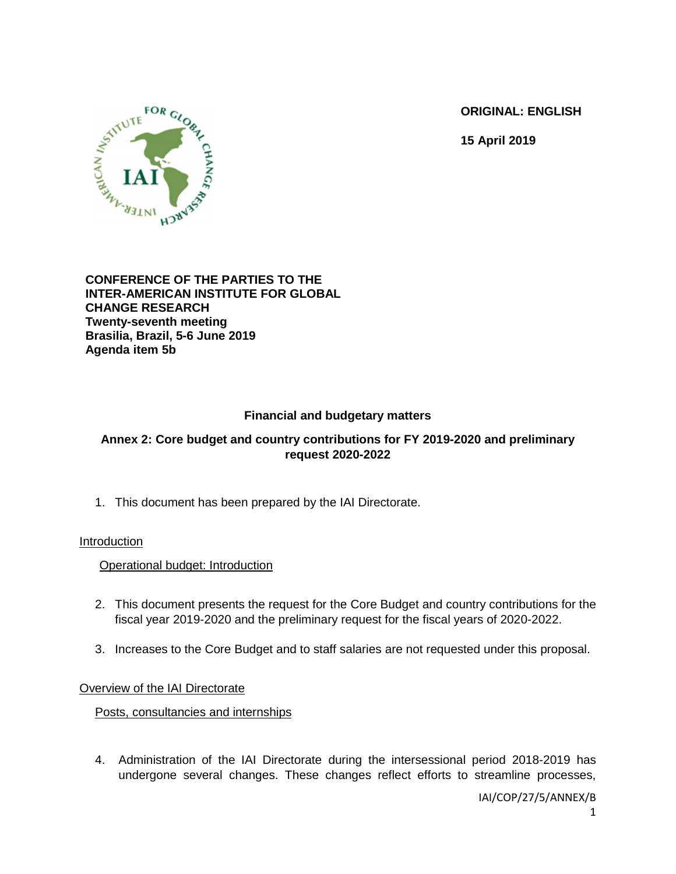**ORIGINAL: ENGLISH**

**15 April 2019**



#### **CONFERENCE OF THE PARTIES TO THE INTER-AMERICAN INSTITUTE FOR GLOBAL CHANGE RESEARCH Twenty-seventh meeting Brasilia, Brazil, 5-6 June 2019 Agenda item 5b**

# **Financial and budgetary matters**

# **Annex 2: Core budget and country contributions for FY 2019-2020 and preliminary request 2020-2022**

1. This document has been prepared by the IAI Directorate.

## Introduction

Operational budget: Introduction

- 2. This document presents the request for the Core Budget and country contributions for the fiscal year 2019-2020 and the preliminary request for the fiscal years of 2020-2022.
- 3. Increases to the Core Budget and to staff salaries are not requested under this proposal.

## Overview of the IAI Directorate

Posts, consultancies and internships

4. Administration of the IAI Directorate during the intersessional period 2018-2019 has undergone several changes. These changes reflect efforts to streamline processes,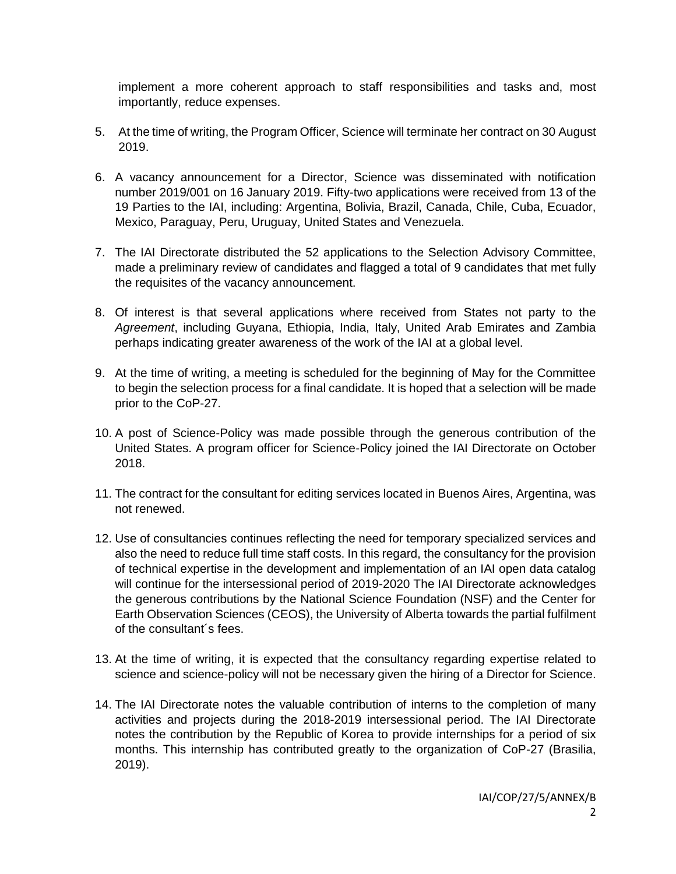implement a more coherent approach to staff responsibilities and tasks and, most importantly, reduce expenses.

- 5. At the time of writing, the Program Officer, Science will terminate her contract on 30 August 2019.
- 6. A vacancy announcement for a Director, Science was disseminated with notification number 2019/001 on 16 January 2019. Fifty-two applications were received from 13 of the 19 Parties to the IAI, including: Argentina, Bolivia, Brazil, Canada, Chile, Cuba, Ecuador, Mexico, Paraguay, Peru, Uruguay, United States and Venezuela.
- 7. The IAI Directorate distributed the 52 applications to the Selection Advisory Committee, made a preliminary review of candidates and flagged a total of 9 candidates that met fully the requisites of the vacancy announcement.
- 8. Of interest is that several applications where received from States not party to the *Agreement*, including Guyana, Ethiopia, India, Italy, United Arab Emirates and Zambia perhaps indicating greater awareness of the work of the IAI at a global level.
- 9. At the time of writing, a meeting is scheduled for the beginning of May for the Committee to begin the selection process for a final candidate. It is hoped that a selection will be made prior to the CoP-27.
- 10. A post of Science-Policy was made possible through the generous contribution of the United States. A program officer for Science-Policy joined the IAI Directorate on October 2018.
- 11. The contract for the consultant for editing services located in Buenos Aires, Argentina, was not renewed.
- 12. Use of consultancies continues reflecting the need for temporary specialized services and also the need to reduce full time staff costs. In this regard, the consultancy for the provision of technical expertise in the development and implementation of an IAI open data catalog will continue for the intersessional period of 2019-2020 The IAI Directorate acknowledges the generous contributions by the National Science Foundation (NSF) and the Center for Earth Observation Sciences (CEOS), the University of Alberta towards the partial fulfilment of the consultant´s fees.
- 13. At the time of writing, it is expected that the consultancy regarding expertise related to science and science-policy will not be necessary given the hiring of a Director for Science.
- 14. The IAI Directorate notes the valuable contribution of interns to the completion of many activities and projects during the 2018-2019 intersessional period. The IAI Directorate notes the contribution by the Republic of Korea to provide internships for a period of six months. This internship has contributed greatly to the organization of CoP-27 (Brasilia, 2019).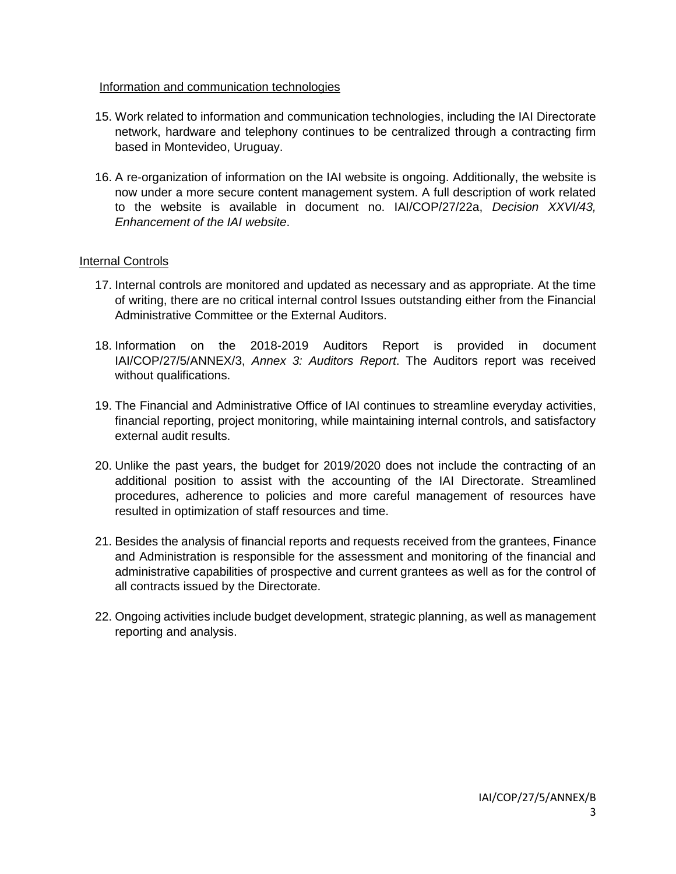#### Information and communication technologies

- 15. Work related to information and communication technologies, including the IAI Directorate network, hardware and telephony continues to be centralized through a contracting firm based in Montevideo, Uruguay.
- 16. A re-organization of information on the IAI website is ongoing. Additionally, the website is now under a more secure content management system. A full description of work related to the website is available in document no. IAI/COP/27/22a, *Decision XXVI/43, Enhancement of the IAI website*.

#### Internal Controls

- 17. Internal controls are monitored and updated as necessary and as appropriate. At the time of writing, there are no critical internal control Issues outstanding either from the Financial Administrative Committee or the External Auditors.
- 18. Information on the 2018-2019 Auditors Report is provided in document IAI/COP/27/5/ANNEX/3, *Annex 3: Auditors Report*. The Auditors report was received without qualifications.
- 19. The Financial and Administrative Office of IAI continues to streamline everyday activities, financial reporting, project monitoring, while maintaining internal controls, and satisfactory external audit results.
- 20. Unlike the past years, the budget for 2019/2020 does not include the contracting of an additional position to assist with the accounting of the IAI Directorate. Streamlined procedures, adherence to policies and more careful management of resources have resulted in optimization of staff resources and time.
- 21. Besides the analysis of financial reports and requests received from the grantees, Finance and Administration is responsible for the assessment and monitoring of the financial and administrative capabilities of prospective and current grantees as well as for the control of all contracts issued by the Directorate.
- 22. Ongoing activities include budget development, strategic planning, as well as management reporting and analysis.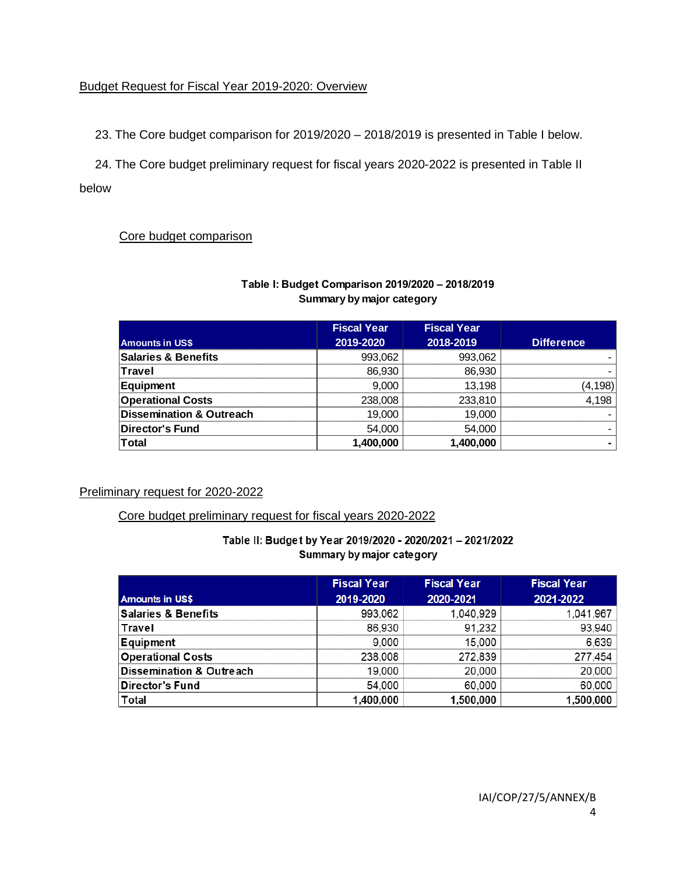## Budget Request for Fiscal Year 2019-2020: Overview

23. The Core budget comparison for 2019/2020 – 2018/2019 is presented in Table I below.

24. The Core budget preliminary request for fiscal years 2020-2022 is presented in Table II below

## Core budget comparison

| Summary by major category           |                                 |                                 |                   |  |
|-------------------------------------|---------------------------------|---------------------------------|-------------------|--|
| <b>Amounts in US\$</b>              | <b>Fiscal Year</b><br>2019-2020 | <b>Fiscal Year</b><br>2018-2019 | <b>Difference</b> |  |
| <b>Salaries &amp; Benefits</b>      | 993,062                         | 993,062                         |                   |  |
| Travel                              | 86,930                          | 86,930                          |                   |  |
| <b>Equipment</b>                    | 9.000                           | 13.198                          | (4,198)           |  |
| <b>Operational Costs</b>            | 238,008                         | 233,810                         | 4.198             |  |
| <b>Dissemination &amp; Outreach</b> | 19.000                          | 19.000                          |                   |  |
| Director's Fund                     | 54,000                          | 54.000                          |                   |  |
| <b>Total</b>                        | 1,400,000                       | 1.400.000                       |                   |  |

## **Table I: Budget Comparison 2019/2020 – 2018/2019 Summary by major category**

## Preliminary request for 2020-2022

## Core budget preliminary request for fiscal years 2020-2022

| Table II: Budget by Year 2019/2020 - 2020/2021 - 2021/2022 |
|------------------------------------------------------------|
| Summary by major category                                  |

**Total 1,400,000 1,400,000 -** 

|                                     | <b>Fiscal Year</b> | <b>Fiscal Year</b> | <b>Fiscal Year</b> |
|-------------------------------------|--------------------|--------------------|--------------------|
| <b>Amounts in US\$</b>              | 2019-2020          | 2020-2021          | 2021-2022          |
| <b>Salaries &amp; Benefits</b>      | 993,062            | 1,040,929          | 1,041,967          |
| Travel                              | 86,930             | 91,232             | 93,940             |
| Equipment                           | 9,000              | 15,000             | 6,639              |
| <b>Operational Costs</b>            | 238,008            | 272,839            | 277,454            |
| <b>Dissemination &amp; Outreach</b> | 19,000             | 20,000             | 20,000             |
| Director's Fund                     | 54,000             | 60,000             | 60,000             |
| Total                               | 1,400,000          | 1,500,000          | 1,500,000          |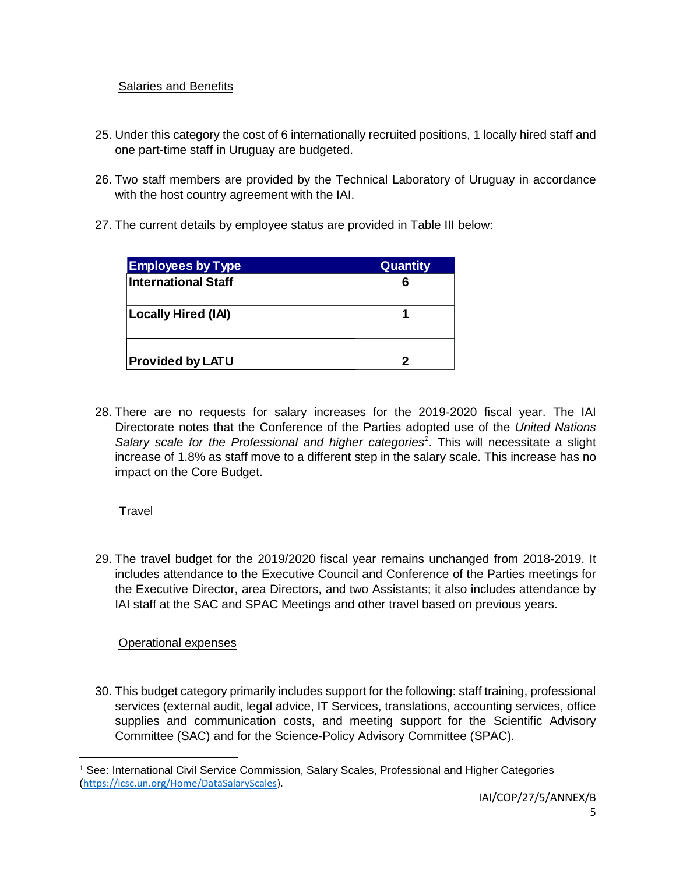## Salaries and Benefits

- 25. Under this category the cost of 6 internationally recruited positions, 1 locally hired staff and one part-time staff in Uruguay are budgeted.
- 26. Two staff members are provided by the Technical Laboratory of Uruguay in accordance with the host country agreement with the IAI.
- 27. The current details by employee status are provided in Table III below:

| <b>Employees by Type</b> | Quantity |
|--------------------------|----------|
| International Staff      |          |
| Locally Hired (IAI)      |          |
| <b>Provided by LATU</b>  |          |

28. There are no requests for salary increases for the 2019-2020 fiscal year. The IAI Directorate notes that the Conference of the Parties adopted use of the *United Nations*  Salary scale for the Professional and higher categories<sup>1</sup>. This will necessitate a slight increase of 1.8% as staff move to a different step in the salary scale. This increase has no impact on the Core Budget.

# Travel

 $\overline{a}$ 

29. The travel budget for the 2019/2020 fiscal year remains unchanged from 2018-2019. It includes attendance to the Executive Council and Conference of the Parties meetings for the Executive Director, area Directors, and two Assistants; it also includes attendance by IAI staff at the SAC and SPAC Meetings and other travel based on previous years.

# Operational expenses

30. This budget category primarily includes support for the following: staff training, professional services (external audit, legal advice, IT Services, translations, accounting services, office supplies and communication costs, and meeting support for the Scientific Advisory Committee (SAC) and for the Science-Policy Advisory Committee (SPAC).

<sup>1</sup> See: International Civil Service Commission, Salary Scales, Professional and Higher Categories ([https://icsc.un.org/Home/DataSalaryScales\)](https://icsc.un.org/Home/DataSalaryScales).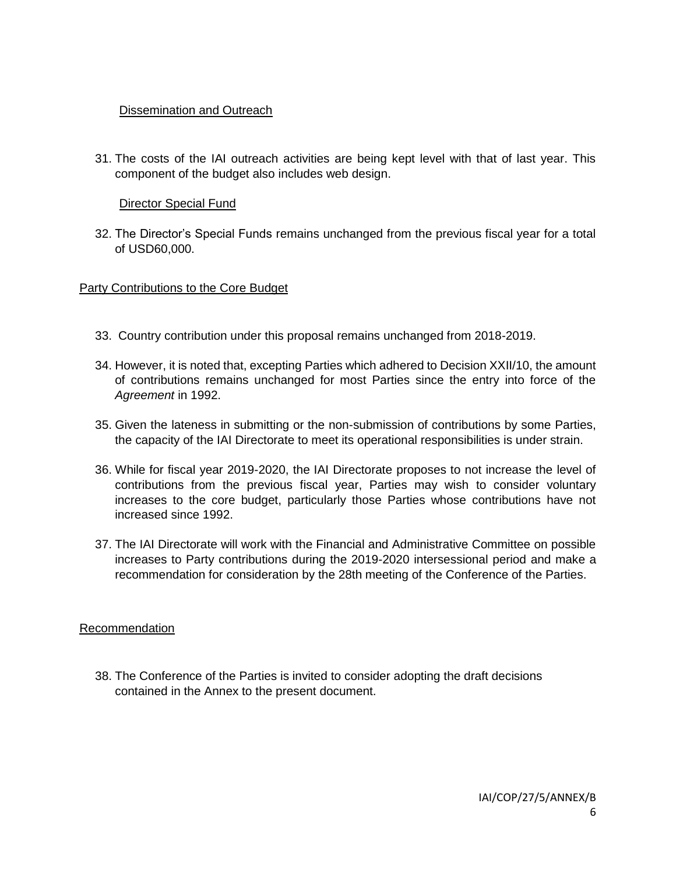## **Dissemination and Outreach**

31. The costs of the IAI outreach activities are being kept level with that of last year. This component of the budget also includes web design.

## Director Special Fund

32. The Director's Special Funds remains unchanged from the previous fiscal year for a total of USD60,000.

## Party Contributions to the Core Budget

- 33. Country contribution under this proposal remains unchanged from 2018-2019.
- 34. However, it is noted that, excepting Parties which adhered to Decision XXII/10, the amount of contributions remains unchanged for most Parties since the entry into force of the *Agreement* in 1992.
- 35. Given the lateness in submitting or the non-submission of contributions by some Parties, the capacity of the IAI Directorate to meet its operational responsibilities is under strain.
- 36. While for fiscal year 2019-2020, the IAI Directorate proposes to not increase the level of contributions from the previous fiscal year, Parties may wish to consider voluntary increases to the core budget, particularly those Parties whose contributions have not increased since 1992.
- 37. The IAI Directorate will work with the Financial and Administrative Committee on possible increases to Party contributions during the 2019-2020 intersessional period and make a recommendation for consideration by the 28th meeting of the Conference of the Parties.

## Recommendation

38. The Conference of the Parties is invited to consider adopting the draft decisions contained in the Annex to the present document.